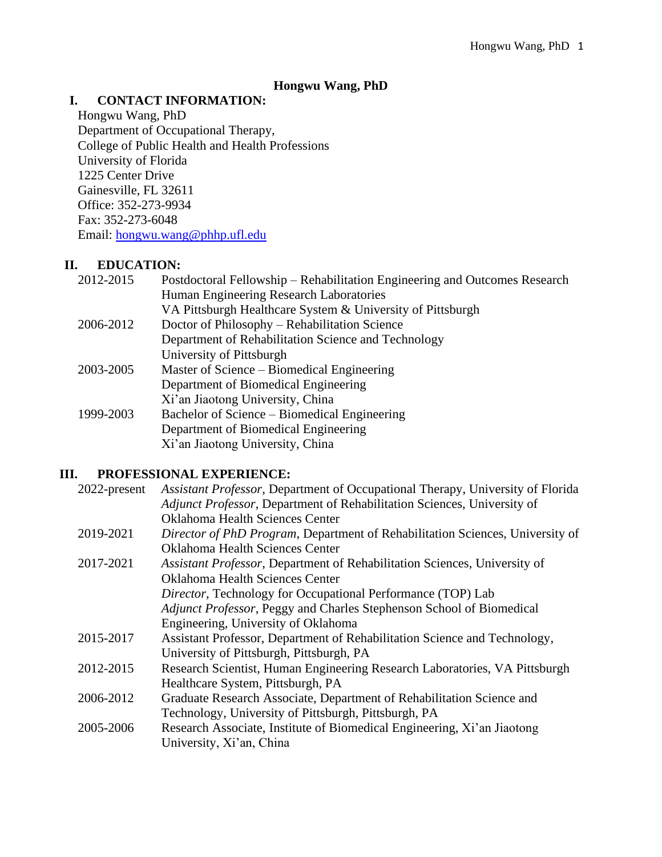# **Hongwu Wang, PhD**

#### **I. CONTACT INFORMATION:**

Hongwu Wang, PhD Department of Occupational Therapy, College of Public Health and Health Professions University of Florida 1225 Center Drive Gainesville, FL 32611 Office: 352-273-9934 Fax: 352-273-6048 Email: [hongwu.wang@phhp.ufl.edu](mailto:hongwu.wang@phhp.ufl.edu)

## **II. EDUCATION:**

| 2012-2015 | Postdoctoral Fellowship – Rehabilitation Engineering and Outcomes Research |
|-----------|----------------------------------------------------------------------------|
|           | Human Engineering Research Laboratories                                    |
|           | VA Pittsburgh Healthcare System & University of Pittsburgh                 |
| 2006-2012 | Doctor of Philosophy – Rehabilitation Science                              |
|           | Department of Rehabilitation Science and Technology                        |
|           | University of Pittsburgh                                                   |
| 2003-2005 | Master of Science – Biomedical Engineering                                 |
|           | Department of Biomedical Engineering                                       |
|           | Xi'an Jiaotong University, China                                           |
| 1999-2003 | Bachelor of Science – Biomedical Engineering                               |
|           | Department of Biomedical Engineering                                       |
|           | Xi'an Jiaotong University, China                                           |

## **III. PROFESSIONAL EXPERIENCE:**

| 2022-present | Assistant Professor, Department of Occupational Therapy, University of Florida<br>Adjunct Professor, Department of Rehabilitation Sciences, University of |
|--------------|-----------------------------------------------------------------------------------------------------------------------------------------------------------|
|              | Oklahoma Health Sciences Center                                                                                                                           |
| 2019-2021    | Director of PhD Program, Department of Rehabilitation Sciences, University of                                                                             |
|              | Oklahoma Health Sciences Center                                                                                                                           |
| 2017-2021    | Assistant Professor, Department of Rehabilitation Sciences, University of                                                                                 |
|              | <b>Oklahoma Health Sciences Center</b>                                                                                                                    |
|              | Director, Technology for Occupational Performance (TOP) Lab                                                                                               |
|              | Adjunct Professor, Peggy and Charles Stephenson School of Biomedical                                                                                      |
|              | Engineering, University of Oklahoma                                                                                                                       |
| 2015-2017    | Assistant Professor, Department of Rehabilitation Science and Technology,                                                                                 |
|              | University of Pittsburgh, Pittsburgh, PA                                                                                                                  |
| 2012-2015    | Research Scientist, Human Engineering Research Laboratories, VA Pittsburgh                                                                                |
|              | Healthcare System, Pittsburgh, PA                                                                                                                         |
| 2006-2012    | Graduate Research Associate, Department of Rehabilitation Science and                                                                                     |
|              | Technology, University of Pittsburgh, Pittsburgh, PA                                                                                                      |
| 2005-2006    | Research Associate, Institute of Biomedical Engineering, Xi'an Jiaotong                                                                                   |
|              | University, Xi'an, China                                                                                                                                  |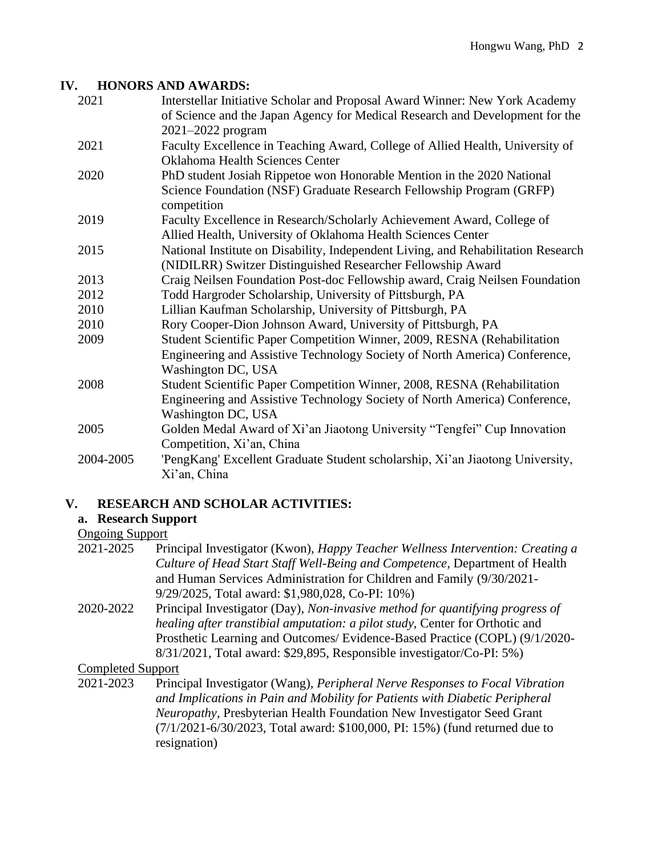#### **IV. HONORS AND AWARDS:**

| 2021      | Interstellar Initiative Scholar and Proposal Award Winner: New York Academy<br>of Science and the Japan Agency for Medical Research and Development for the<br>$2021 - 2022$ program |
|-----------|--------------------------------------------------------------------------------------------------------------------------------------------------------------------------------------|
| 2021      | Faculty Excellence in Teaching Award, College of Allied Health, University of<br><b>Oklahoma Health Sciences Center</b>                                                              |
| 2020      | PhD student Josiah Rippetoe won Honorable Mention in the 2020 National<br>Science Foundation (NSF) Graduate Research Fellowship Program (GRFP)<br>competition                        |
| 2019      | Faculty Excellence in Research/Scholarly Achievement Award, College of<br>Allied Health, University of Oklahoma Health Sciences Center                                               |
| 2015      | National Institute on Disability, Independent Living, and Rehabilitation Research<br>(NIDILRR) Switzer Distinguished Researcher Fellowship Award                                     |
| 2013      | Craig Neilsen Foundation Post-doc Fellowship award, Craig Neilsen Foundation                                                                                                         |
| 2012      | Todd Hargroder Scholarship, University of Pittsburgh, PA                                                                                                                             |
| 2010      | Lillian Kaufman Scholarship, University of Pittsburgh, PA                                                                                                                            |
| 2010      | Rory Cooper-Dion Johnson Award, University of Pittsburgh, PA                                                                                                                         |
| 2009      | Student Scientific Paper Competition Winner, 2009, RESNA (Rehabilitation                                                                                                             |
|           | Engineering and Assistive Technology Society of North America) Conference,<br>Washington DC, USA                                                                                     |
| 2008      | Student Scientific Paper Competition Winner, 2008, RESNA (Rehabilitation                                                                                                             |
|           | Engineering and Assistive Technology Society of North America) Conference,                                                                                                           |
|           | Washington DC, USA                                                                                                                                                                   |
| 2005      | Golden Medal Award of Xi'an Jiaotong University "Tengfei" Cup Innovation                                                                                                             |
|           | Competition, Xi'an, China                                                                                                                                                            |
| 2004-2005 | 'PengKang' Excellent Graduate Student scholarship, Xi'an Jiaotong University,<br>Xi'an, China                                                                                        |

## **V. RESEARCH AND SCHOLAR ACTIVITIES:**

## **a. Research Support**

#### Ongoing Support

- 2021-2025 Principal Investigator (Kwon), *Happy Teacher Wellness Intervention: Creating a Culture of Head Start Staff Well-Being and Competence*, Department of Health and Human Services Administration for Children and Family (9/30/2021- 9/29/2025, Total award: \$1,980,028, Co-PI: 10%)
- 2020-2022 Principal Investigator (Day), *Non-invasive method for quantifying progress of healing after transtibial amputation: a pilot study*, Center for Orthotic and Prosthetic Learning and Outcomes/ Evidence-Based Practice (COPL) (9/1/2020- 8/31/2021, Total award: \$29,895, Responsible investigator/Co-PI: 5%)

#### Completed Support

2021-2023 Principal Investigator (Wang), *Peripheral Nerve Responses to Focal Vibration and Implications in Pain and Mobility for Patients with Diabetic Peripheral Neuropathy*, Presbyterian Health Foundation New Investigator Seed Grant (7/1/2021-6/30/2023, Total award: \$100,000, PI: 15%) (fund returned due to resignation)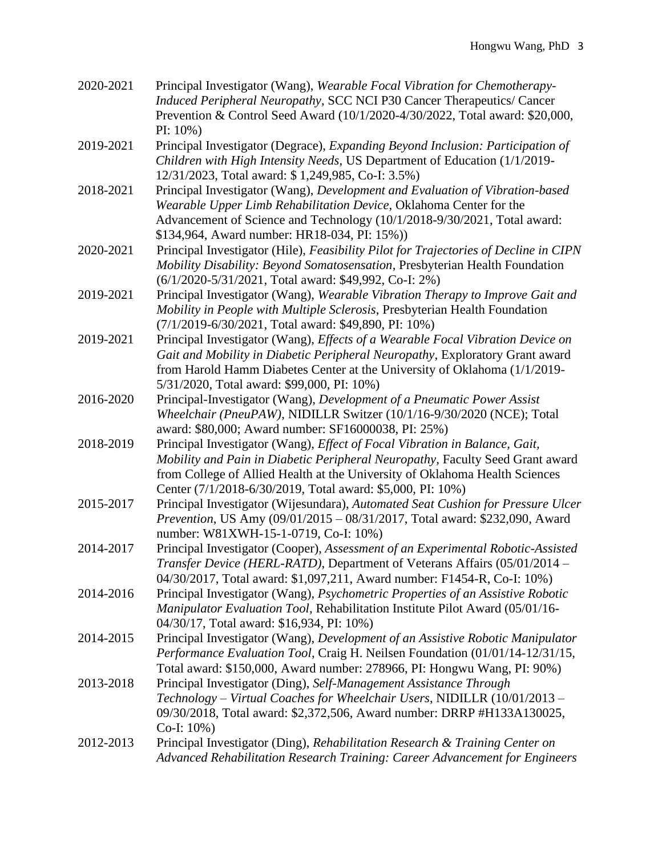| 2020-2021 | Principal Investigator (Wang), Wearable Focal Vibration for Chemotherapy-<br>Induced Peripheral Neuropathy, SCC NCI P30 Cancer Therapeutics/ Cancer<br>Prevention & Control Seed Award (10/1/2020-4/30/2022, Total award: \$20,000,                                                                      |
|-----------|----------------------------------------------------------------------------------------------------------------------------------------------------------------------------------------------------------------------------------------------------------------------------------------------------------|
|           | $PI: 10\%)$                                                                                                                                                                                                                                                                                              |
| 2019-2021 | Principal Investigator (Degrace), Expanding Beyond Inclusion: Participation of<br>Children with High Intensity Needs, US Department of Education (1/1/2019-<br>12/31/2023, Total award: \$1,249,985, Co-I: 3.5%)                                                                                         |
| 2018-2021 | Principal Investigator (Wang), Development and Evaluation of Vibration-based<br>Wearable Upper Limb Rehabilitation Device, Oklahoma Center for the<br>Advancement of Science and Technology (10/1/2018-9/30/2021, Total award:                                                                           |
|           | \$134,964, Award number: HR18-034, PI: 15%))                                                                                                                                                                                                                                                             |
| 2020-2021 | Principal Investigator (Hile), Feasibility Pilot for Trajectories of Decline in CIPN<br>Mobility Disability: Beyond Somatosensation, Presbyterian Health Foundation<br>(6/1/2020-5/31/2021, Total award: \$49,992, Co-I: 2%)                                                                             |
| 2019-2021 | Principal Investigator (Wang), Wearable Vibration Therapy to Improve Gait and<br>Mobility in People with Multiple Sclerosis, Presbyterian Health Foundation<br>(7/1/2019-6/30/2021, Total award: \$49,890, PI: 10%)                                                                                      |
| 2019-2021 | Principal Investigator (Wang), Effects of a Wearable Focal Vibration Device on                                                                                                                                                                                                                           |
|           | Gait and Mobility in Diabetic Peripheral Neuropathy, Exploratory Grant award<br>from Harold Hamm Diabetes Center at the University of Oklahoma (1/1/2019-<br>5/31/2020, Total award: \$99,000, PI: 10%)                                                                                                  |
| 2016-2020 | Principal-Investigator (Wang), Development of a Pneumatic Power Assist                                                                                                                                                                                                                                   |
|           | Wheelchair (PneuPAW), NIDILLR Switzer (10/1/16-9/30/2020 (NCE); Total<br>award: \$80,000; Award number: SF16000038, PI: 25%)                                                                                                                                                                             |
| 2018-2019 | Principal Investigator (Wang), Effect of Focal Vibration in Balance, Gait,<br>Mobility and Pain in Diabetic Peripheral Neuropathy, Faculty Seed Grant award<br>from College of Allied Health at the University of Oklahoma Health Sciences<br>Center (7/1/2018-6/30/2019, Total award: \$5,000, PI: 10%) |
| 2015-2017 | Principal Investigator (Wijesundara), Automated Seat Cushion for Pressure Ulcer<br>Prevention, US Amy (09/01/2015 - 08/31/2017, Total award: \$232,090, Award<br>number: W81XWH-15-1-0719, Co-I: 10%)                                                                                                    |
| 2014-2017 | Principal Investigator (Cooper), Assessment of an Experimental Robotic-Assisted<br>Transfer Device (HERL-RATD), Department of Veterans Affairs (05/01/2014 -<br>04/30/2017, Total award: \$1,097,211, Award number: F1454-R, Co-I: 10%)                                                                  |
| 2014-2016 | Principal Investigator (Wang), Psychometric Properties of an Assistive Robotic<br>Manipulator Evaluation Tool, Rehabilitation Institute Pilot Award (05/01/16-<br>04/30/17, Total award: \$16,934, PI: 10%)                                                                                              |
| 2014-2015 | Principal Investigator (Wang), Development of an Assistive Robotic Manipulator<br>Performance Evaluation Tool, Craig H. Neilsen Foundation (01/01/14-12/31/15,                                                                                                                                           |
| 2013-2018 | Total award: \$150,000, Award number: 278966, PI: Hongwu Wang, PI: 90%)<br>Principal Investigator (Ding), Self-Management Assistance Through<br>Technology – Virtual Coaches for Wheelchair Users, NIDILLR (10/01/2013 –<br>09/30/2018, Total award: \$2,372,506, Award number: DRRP #H133A130025,       |
| 2012-2013 | $Co-I: 10\%)$<br>Principal Investigator (Ding), Rehabilitation Research & Training Center on<br>Advanced Rehabilitation Research Training: Career Advancement for Engineers                                                                                                                              |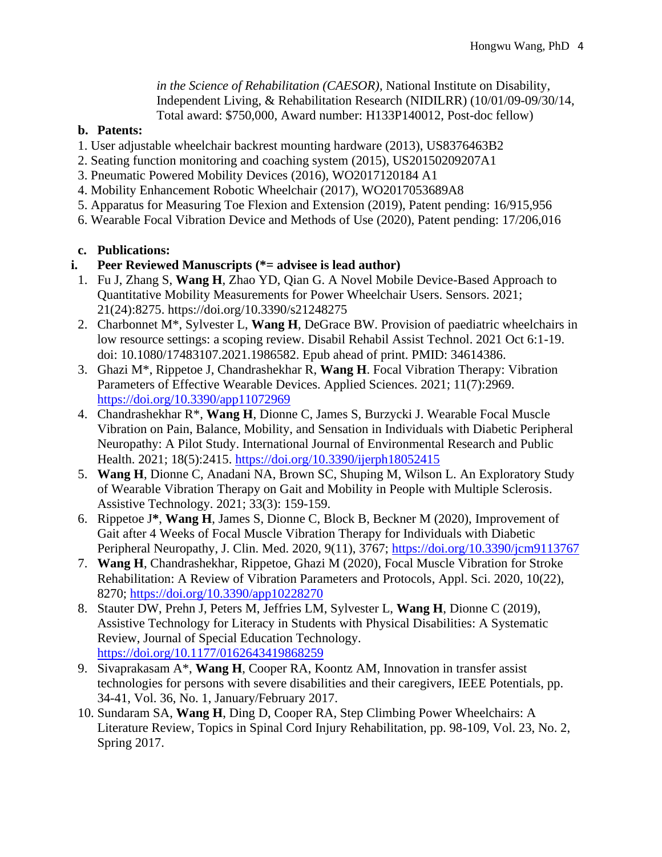*in the Science of Rehabilitation (CAESOR)*, National Institute on Disability, Independent Living, & Rehabilitation Research (NIDILRR) (10/01/09-09/30/14, Total award: \$750,000, Award number: H133P140012, Post-doc fellow)

## **b. Patents:**

- 1. User adjustable wheelchair backrest mounting hardware (2013), US8376463B2
- 2. Seating function monitoring and coaching system (2015), US20150209207A1
- 3. Pneumatic Powered Mobility Devices (2016), WO2017120184 A1
- 4. Mobility Enhancement Robotic Wheelchair (2017), WO2017053689A8
- 5. Apparatus for Measuring Toe Flexion and Extension (2019), Patent pending: 16/915,956
- 6. Wearable Focal Vibration Device and Methods of Use (2020), Patent pending: 17/206,016

## **c. Publications:**

- **i. Peer Reviewed Manuscripts (\*= advisee is lead author)**
- 1. Fu J, Zhang S, **Wang H**, Zhao YD, Qian G. A Novel Mobile Device-Based Approach to Quantitative Mobility Measurements for Power Wheelchair Users. Sensors. 2021; 21(24):8275. https://doi.org/10.3390/s21248275
- 2. Charbonnet M\*, Sylvester L, **Wang H**, DeGrace BW. Provision of paediatric wheelchairs in low resource settings: a scoping review. Disabil Rehabil Assist Technol. 2021 Oct 6:1-19. doi: 10.1080/17483107.2021.1986582. Epub ahead of print. PMID: 34614386.
- 3. Ghazi M\*, Rippetoe J, Chandrashekhar R, **Wang H**. Focal Vibration Therapy: Vibration Parameters of Effective Wearable Devices. Applied Sciences. 2021; 11(7):2969. <https://doi.org/10.3390/app11072969>
- 4. Chandrashekhar R\*, **Wang H**, Dionne C, James S, Burzycki J. Wearable Focal Muscle Vibration on Pain, Balance, Mobility, and Sensation in Individuals with Diabetic Peripheral Neuropathy: A Pilot Study. International Journal of Environmental Research and Public Health. 2021; 18(5):2415.<https://doi.org/10.3390/ijerph18052415>
- 5. **Wang H**, Dionne C, Anadani NA, Brown SC, Shuping M, Wilson L. An Exploratory Study of Wearable Vibration Therapy on Gait and Mobility in People with Multiple Sclerosis. Assistive Technology. 2021; 33(3): 159-159.
- 6. Rippetoe J**\***, **Wang H**, James S, Dionne C, Block B, Beckner M (2020), Improvement of Gait after 4 Weeks of Focal Muscle Vibration Therapy for Individuals with Diabetic Peripheral Neuropathy, J. Clin. Med. 2020, 9(11), 3767;<https://doi.org/10.3390/jcm9113767>
- 7. **Wang H**, Chandrashekhar, Rippetoe, Ghazi M (2020), Focal Muscle Vibration for Stroke Rehabilitation: A Review of Vibration Parameters and Protocols, Appl. Sci. 2020, 10(22), 8270;<https://doi.org/10.3390/app10228270>
- 8. Stauter DW, Prehn J, Peters M, Jeffries LM, Sylvester L, **Wang H**, Dionne C (2019), Assistive Technology for Literacy in Students with Physical Disabilities: A Systematic Review, Journal of Special Education Technology. <https://doi.org/10.1177/0162643419868259>
- 9. Sivaprakasam A\*, **Wang H**, Cooper RA, Koontz AM, Innovation in transfer assist technologies for persons with severe disabilities and their caregivers, IEEE Potentials, pp. 34-41, Vol. 36, No. 1, January/February 2017.
- 10. Sundaram SA, **Wang H**, Ding D, Cooper RA, Step Climbing Power Wheelchairs: A Literature Review, Topics in Spinal Cord Injury Rehabilitation, pp. 98-109, Vol. 23, No. 2, Spring 2017.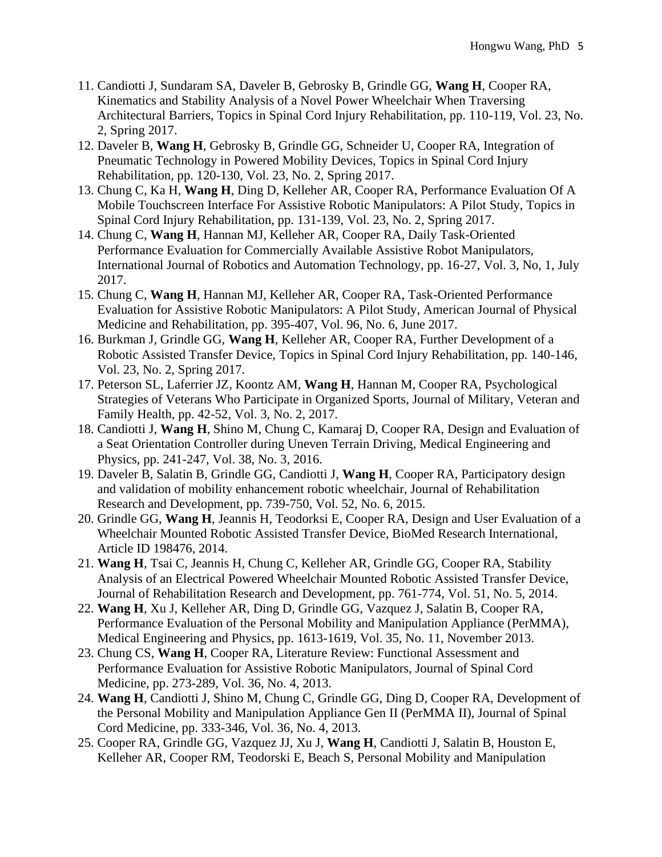- 11. Candiotti J, Sundaram SA, Daveler B, Gebrosky B, Grindle GG, **Wang H**, Cooper RA, Kinematics and Stability Analysis of a Novel Power Wheelchair When Traversing Architectural Barriers, Topics in Spinal Cord Injury Rehabilitation, pp. 110-119, Vol. 23, No. 2, Spring 2017.
- 12. Daveler B, **Wang H**, Gebrosky B, Grindle GG, Schneider U, Cooper RA, Integration of Pneumatic Technology in Powered Mobility Devices, Topics in Spinal Cord Injury Rehabilitation, pp. 120-130, Vol. 23, No. 2, Spring 2017.
- 13. Chung C, Ka H, **Wang H**, Ding D, Kelleher AR, Cooper RA, Performance Evaluation Of A Mobile Touchscreen Interface For Assistive Robotic Manipulators: A Pilot Study, Topics in Spinal Cord Injury Rehabilitation, pp. 131-139, Vol. 23, No. 2, Spring 2017.
- 14. Chung C, **Wang H**, Hannan MJ, Kelleher AR, Cooper RA, Daily Task-Oriented Performance Evaluation for Commercially Available Assistive Robot Manipulators, International Journal of Robotics and Automation Technology, pp. 16-27, Vol. 3, No, 1, July 2017.
- 15. Chung C, **Wang H**, Hannan MJ, Kelleher AR, Cooper RA, Task-Oriented Performance Evaluation for Assistive Robotic Manipulators: A Pilot Study, American Journal of Physical Medicine and Rehabilitation, pp. 395-407, Vol. 96, No. 6, June 2017.
- 16. Burkman J, Grindle GG, **Wang H**, Kelleher AR, Cooper RA, Further Development of a Robotic Assisted Transfer Device, Topics in Spinal Cord Injury Rehabilitation, pp. 140-146, Vol. 23, No. 2, Spring 2017.
- 17. Peterson SL, Laferrier JZ, Koontz AM, **Wang H**, Hannan M, Cooper RA, Psychological Strategies of Veterans Who Participate in Organized Sports, Journal of Military, Veteran and Family Health, pp. 42-52, Vol. 3, No. 2, 2017.
- 18. Candiotti J, **Wang H**, Shino M, Chung C, Kamaraj D, Cooper RA, Design and Evaluation of a Seat Orientation Controller during Uneven Terrain Driving, Medical Engineering and Physics, pp. 241-247, Vol. 38, No. 3, 2016.
- 19. Daveler B, Salatin B, Grindle GG, Candiotti J, **Wang H**, Cooper RA, Participatory design and validation of mobility enhancement robotic wheelchair, Journal of Rehabilitation Research and Development, pp. 739-750, Vol. 52, No. 6, 2015.
- 20. Grindle GG, **Wang H**, Jeannis H, Teodorksi E, Cooper RA, Design and User Evaluation of a Wheelchair Mounted Robotic Assisted Transfer Device, BioMed Research International, Article ID 198476, 2014.
- 21. **Wang H**, Tsai C, Jeannis H, Chung C, Kelleher AR, Grindle GG, Cooper RA, Stability Analysis of an Electrical Powered Wheelchair Mounted Robotic Assisted Transfer Device, Journal of Rehabilitation Research and Development, pp. 761-774, Vol. 51, No. 5, 2014.
- 22. **Wang H**, Xu J, Kelleher AR, Ding D, Grindle GG, Vazquez J, Salatin B, Cooper RA, Performance Evaluation of the Personal Mobility and Manipulation Appliance (PerMMA), Medical Engineering and Physics, pp. 1613-1619, Vol. 35, No. 11, November 2013.
- 23. Chung CS, **Wang H**, Cooper RA, Literature Review: Functional Assessment and Performance Evaluation for Assistive Robotic Manipulators, Journal of Spinal Cord Medicine, pp. 273-289, Vol. 36, No. 4, 2013.
- 24. **Wang H**, Candiotti J, Shino M, Chung C, Grindle GG, Ding D, Cooper RA, Development of the Personal Mobility and Manipulation Appliance Gen II (PerMMA II), Journal of Spinal Cord Medicine, pp. 333-346, Vol. 36, No. 4, 2013.
- 25. Cooper RA, Grindle GG, Vazquez JJ, Xu J, **Wang H**, Candiotti J, Salatin B, Houston E, Kelleher AR, Cooper RM, Teodorski E, Beach S, Personal Mobility and Manipulation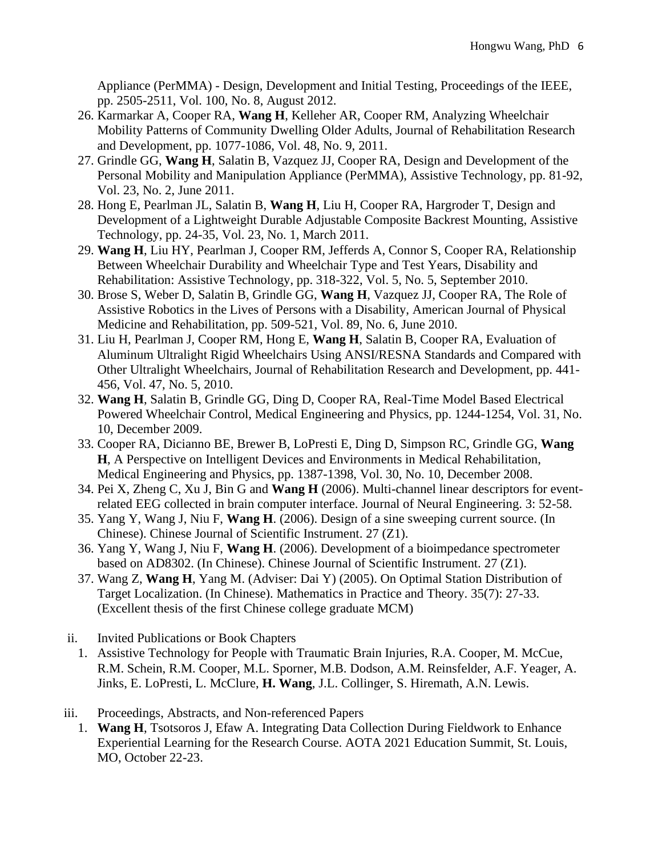Appliance (PerMMA) - Design, Development and Initial Testing, Proceedings of the IEEE, pp. 2505-2511, Vol. 100, No. 8, August 2012.

- 26. Karmarkar A, Cooper RA, **Wang H**, Kelleher AR, Cooper RM, Analyzing Wheelchair Mobility Patterns of Community Dwelling Older Adults, Journal of Rehabilitation Research and Development, pp. 1077-1086, Vol. 48, No. 9, 2011.
- 27. Grindle GG, **Wang H**, Salatin B, Vazquez JJ, Cooper RA, Design and Development of the Personal Mobility and Manipulation Appliance (PerMMA), Assistive Technology, pp. 81-92, Vol. 23, No. 2, June 2011.
- 28. Hong E, Pearlman JL, Salatin B, **Wang H**, Liu H, Cooper RA, Hargroder T, Design and Development of a Lightweight Durable Adjustable Composite Backrest Mounting, Assistive Technology, pp. 24-35, Vol. 23, No. 1, March 2011.
- 29. **Wang H**, Liu HY, Pearlman J, Cooper RM, Jefferds A, Connor S, Cooper RA, Relationship Between Wheelchair Durability and Wheelchair Type and Test Years, Disability and Rehabilitation: Assistive Technology, pp. 318-322, Vol. 5, No. 5, September 2010.
- 30. Brose S, Weber D, Salatin B, Grindle GG, **Wang H**, Vazquez JJ, Cooper RA, The Role of Assistive Robotics in the Lives of Persons with a Disability, American Journal of Physical Medicine and Rehabilitation, pp. 509-521, Vol. 89, No. 6, June 2010.
- 31. Liu H, Pearlman J, Cooper RM, Hong E, **Wang H**, Salatin B, Cooper RA, Evaluation of Aluminum Ultralight Rigid Wheelchairs Using ANSI/RESNA Standards and Compared with Other Ultralight Wheelchairs, Journal of Rehabilitation Research and Development, pp. 441- 456, Vol. 47, No. 5, 2010.
- 32. **Wang H**, Salatin B, Grindle GG, Ding D, Cooper RA, Real-Time Model Based Electrical Powered Wheelchair Control, Medical Engineering and Physics, pp. 1244-1254, Vol. 31, No. 10, December 2009.
- 33. Cooper RA, Dicianno BE, Brewer B, LoPresti E, Ding D, Simpson RC, Grindle GG, **Wang H**, A Perspective on Intelligent Devices and Environments in Medical Rehabilitation, Medical Engineering and Physics, pp. 1387-1398, Vol. 30, No. 10, December 2008.
- 34. Pei X, Zheng C, Xu J, Bin G and **Wang H** (2006). Multi-channel linear descriptors for eventrelated EEG collected in brain computer interface. Journal of Neural Engineering. 3: 52-58.
- 35. Yang Y, Wang J, Niu F, **Wang H**. (2006). Design of a sine sweeping current source. (In Chinese). Chinese Journal of Scientific Instrument. 27 (Z1).
- 36. Yang Y, Wang J, Niu F, **Wang H**. (2006). Development of a bioimpedance spectrometer based on AD8302. (In Chinese). Chinese Journal of Scientific Instrument. 27 (Z1).
- 37. Wang Z, **Wang H**, Yang M. (Adviser: Dai Y) (2005). On Optimal Station Distribution of Target Localization. (In Chinese). Mathematics in Practice and Theory. 35(7): 27-33. (Excellent thesis of the first Chinese college graduate MCM)
- ii. Invited Publications or Book Chapters
	- 1. Assistive Technology for People with Traumatic Brain Injuries, R.A. Cooper, M. McCue, R.M. Schein, R.M. Cooper, M.L. Sporner, M.B. Dodson, A.M. Reinsfelder, A.F. Yeager, A. Jinks, E. LoPresti, L. McClure, **H. Wang**, J.L. Collinger, S. Hiremath, A.N. Lewis.
- iii. Proceedings, Abstracts, and Non-referenced Papers
	- 1. **Wang H**, Tsotsoros J, Efaw A. Integrating Data Collection During Fieldwork to Enhance Experiential Learning for the Research Course. AOTA 2021 Education Summit, St. Louis, MO, October 22-23.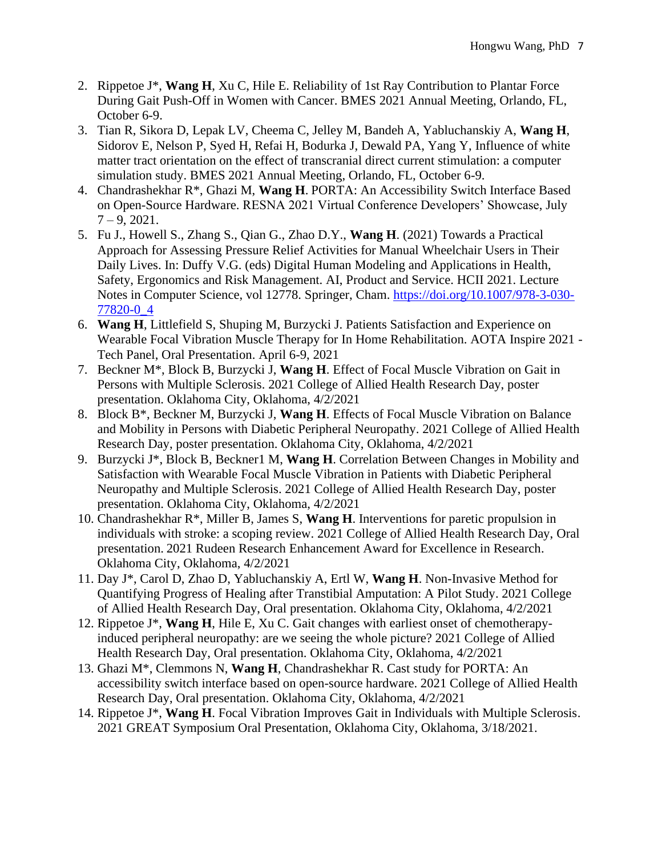- 2. Rippetoe J\*, **Wang H**, Xu C, Hile E. Reliability of 1st Ray Contribution to Plantar Force During Gait Push-Off in Women with Cancer. BMES 2021 Annual Meeting, Orlando, FL, October 6-9.
- 3. Tian R, Sikora D, Lepak LV, Cheema C, Jelley M, Bandeh A, Yabluchanskiy A, **Wang H**, Sidorov E, Nelson P, Syed H, Refai H, Bodurka J, Dewald PA, Yang Y, Influence of white matter tract orientation on the effect of transcranial direct current stimulation: a computer simulation study. BMES 2021 Annual Meeting, Orlando, FL, October 6-9.
- 4. Chandrashekhar R\*, Ghazi M, **Wang H**. PORTA: An Accessibility Switch Interface Based on Open-Source Hardware. RESNA 2021 Virtual Conference Developers' Showcase, July  $7 - 9, 2021.$
- 5. Fu J., Howell S., Zhang S., Qian G., Zhao D.Y., **Wang H**. (2021) Towards a Practical Approach for Assessing Pressure Relief Activities for Manual Wheelchair Users in Their Daily Lives. In: Duffy V.G. (eds) Digital Human Modeling and Applications in Health, Safety, Ergonomics and Risk Management. AI, Product and Service. HCII 2021. Lecture Notes in Computer Science, vol 12778. Springer, Cham. [https://doi.org/10.1007/978-3-030-](https://doi.org/10.1007/978-3-030-77820-0_4) [77820-0\\_4](https://doi.org/10.1007/978-3-030-77820-0_4)
- 6. **Wang H**, Littlefield S, Shuping M, Burzycki J. Patients Satisfaction and Experience on Wearable Focal Vibration Muscle Therapy for In Home Rehabilitation. AOTA Inspire 2021 - Tech Panel, Oral Presentation. April 6-9, 2021
- 7. Beckner M\*, Block B, Burzycki J, **Wang H**. Effect of Focal Muscle Vibration on Gait in Persons with Multiple Sclerosis. 2021 College of Allied Health Research Day, poster presentation. Oklahoma City, Oklahoma, 4/2/2021
- 8. Block B\*, Beckner M, Burzycki J, **Wang H**. Effects of Focal Muscle Vibration on Balance and Mobility in Persons with Diabetic Peripheral Neuropathy. 2021 College of Allied Health Research Day, poster presentation. Oklahoma City, Oklahoma, 4/2/2021
- 9. Burzycki J\*, Block B, Beckner1 M, **Wang H**. Correlation Between Changes in Mobility and Satisfaction with Wearable Focal Muscle Vibration in Patients with Diabetic Peripheral Neuropathy and Multiple Sclerosis. 2021 College of Allied Health Research Day, poster presentation. Oklahoma City, Oklahoma, 4/2/2021
- 10. Chandrashekhar R\*, Miller B, James S, **Wang H**. Interventions for paretic propulsion in individuals with stroke: a scoping review. 2021 College of Allied Health Research Day, Oral presentation. 2021 Rudeen Research Enhancement Award for Excellence in Research. Oklahoma City, Oklahoma, 4/2/2021
- 11. Day J\*, Carol D, Zhao D, Yabluchanskiy A, Ertl W, **Wang H**. Non-Invasive Method for Quantifying Progress of Healing after Transtibial Amputation: A Pilot Study. 2021 College of Allied Health Research Day, Oral presentation. Oklahoma City, Oklahoma, 4/2/2021
- 12. Rippetoe J\*, **Wang H**, Hile E, Xu C. Gait changes with earliest onset of chemotherapyinduced peripheral neuropathy: are we seeing the whole picture? 2021 College of Allied Health Research Day, Oral presentation. Oklahoma City, Oklahoma, 4/2/2021
- 13. Ghazi M\*, Clemmons N, **Wang H**, Chandrashekhar R. Cast study for PORTA: An accessibility switch interface based on open-source hardware. 2021 College of Allied Health Research Day, Oral presentation. Oklahoma City, Oklahoma, 4/2/2021
- 14. Rippetoe J\*, **Wang H**. Focal Vibration Improves Gait in Individuals with Multiple Sclerosis. 2021 GREAT Symposium Oral Presentation, Oklahoma City, Oklahoma, 3/18/2021.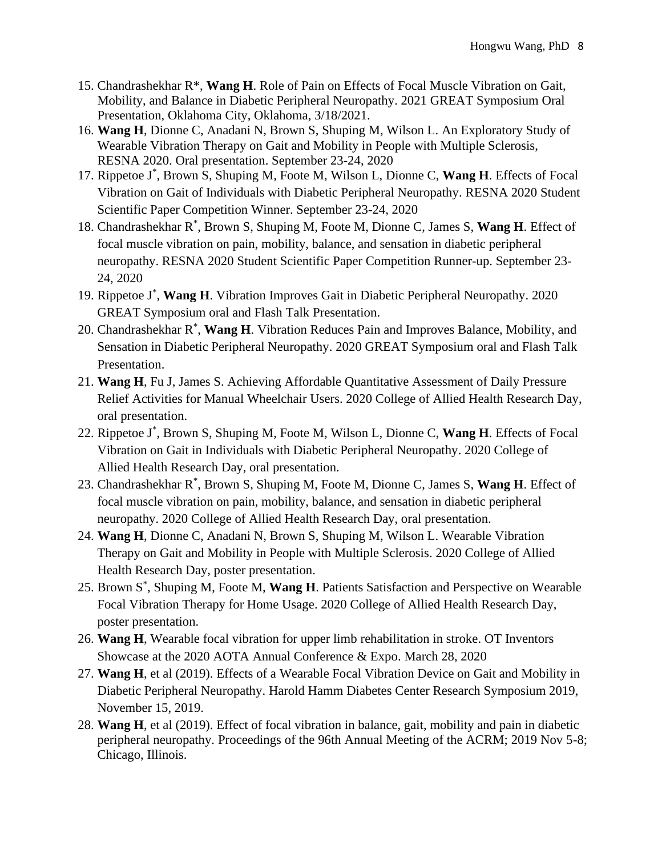- 15. Chandrashekhar R\*, **Wang H**. Role of Pain on Effects of Focal Muscle Vibration on Gait, Mobility, and Balance in Diabetic Peripheral Neuropathy. 2021 GREAT Symposium Oral Presentation, Oklahoma City, Oklahoma, 3/18/2021.
- 16. **Wang H**, Dionne C, Anadani N, Brown S, Shuping M, Wilson L. An Exploratory Study of Wearable Vibration Therapy on Gait and Mobility in People with Multiple Sclerosis, RESNA 2020. Oral presentation. September 23-24, 2020
- 17. Rippetoe J\* , Brown S, Shuping M, Foote M, Wilson L, Dionne C, **Wang H**. Effects of Focal Vibration on Gait of Individuals with Diabetic Peripheral Neuropathy. RESNA 2020 Student Scientific Paper Competition Winner. September 23-24, 2020
- 18. Chandrashekhar R \* , Brown S, Shuping M, Foote M, Dionne C, James S, **Wang H**. Effect of focal muscle vibration on pain, mobility, balance, and sensation in diabetic peripheral neuropathy. RESNA 2020 Student Scientific Paper Competition Runner-up. September 23- 24, 2020
- 19. Rippetoe J\* , **Wang H**. Vibration Improves Gait in Diabetic Peripheral Neuropathy. 2020 GREAT Symposium oral and Flash Talk Presentation.
- 20. Chandrashekhar R \* , **Wang H**. Vibration Reduces Pain and Improves Balance, Mobility, and Sensation in Diabetic Peripheral Neuropathy. 2020 GREAT Symposium oral and Flash Talk Presentation.
- 21. **Wang H**, Fu J, James S. Achieving Affordable Quantitative Assessment of Daily Pressure Relief Activities for Manual Wheelchair Users. 2020 College of Allied Health Research Day, oral presentation.
- 22. Rippetoe J\* , Brown S, Shuping M, Foote M, Wilson L, Dionne C, **Wang H**. Effects of Focal Vibration on Gait in Individuals with Diabetic Peripheral Neuropathy. 2020 College of Allied Health Research Day, oral presentation.
- 23. Chandrashekhar R \* , Brown S, Shuping M, Foote M, Dionne C, James S, **Wang H**. Effect of focal muscle vibration on pain, mobility, balance, and sensation in diabetic peripheral neuropathy. 2020 College of Allied Health Research Day, oral presentation.
- 24. **Wang H**, Dionne C, Anadani N, Brown S, Shuping M, Wilson L. Wearable Vibration Therapy on Gait and Mobility in People with Multiple Sclerosis. 2020 College of Allied Health Research Day, poster presentation.
- 25. Brown S\* , Shuping M, Foote M, **Wang H**. Patients Satisfaction and Perspective on Wearable Focal Vibration Therapy for Home Usage. 2020 College of Allied Health Research Day, poster presentation.
- 26. **Wang H**, Wearable focal vibration for upper limb rehabilitation in stroke. OT Inventors Showcase at the 2020 AOTA Annual Conference & Expo. March 28, 2020
- 27. **Wang H**, et al (2019). Effects of a Wearable Focal Vibration Device on Gait and Mobility in Diabetic Peripheral Neuropathy. Harold Hamm Diabetes Center Research Symposium 2019, November 15, 2019.
- 28. **Wang H**, et al (2019). Effect of focal vibration in balance, gait, mobility and pain in diabetic peripheral neuropathy. Proceedings of the 96th Annual Meeting of the ACRM; 2019 Nov 5-8; Chicago, Illinois.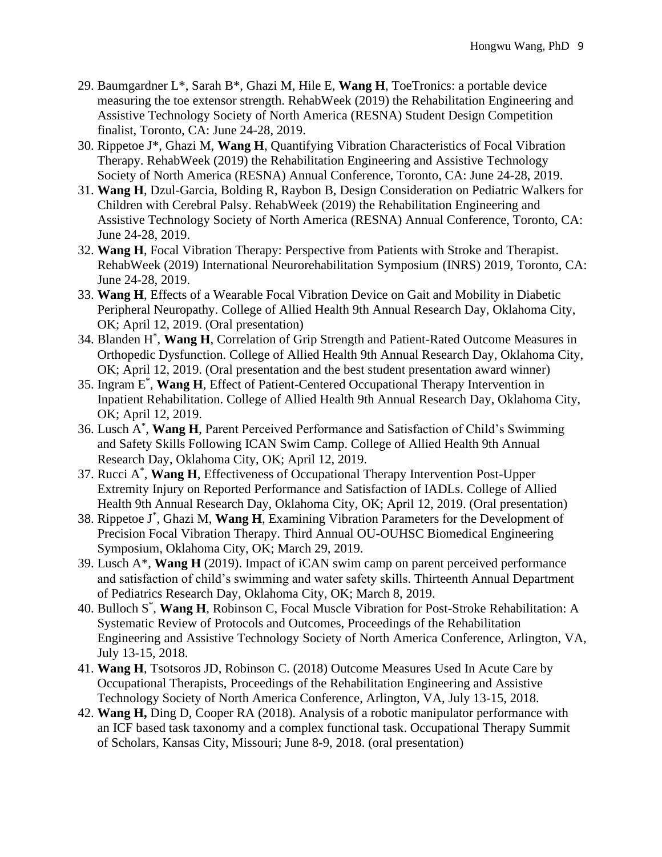- 29. Baumgardner L\*, Sarah B\*, Ghazi M, Hile E, **Wang H**, ToeTronics: a portable device measuring the toe extensor strength. RehabWeek (2019) the Rehabilitation Engineering and Assistive Technology Society of North America (RESNA) Student Design Competition finalist, Toronto, CA: June 24-28, 2019.
- 30. Rippetoe J\*, Ghazi M, **Wang H**, Quantifying Vibration Characteristics of Focal Vibration Therapy. RehabWeek (2019) the Rehabilitation Engineering and Assistive Technology Society of North America (RESNA) Annual Conference, Toronto, CA: June 24-28, 2019.
- 31. **Wang H**, Dzul-Garcia, Bolding R, Raybon B, Design Consideration on Pediatric Walkers for Children with Cerebral Palsy. RehabWeek (2019) the Rehabilitation Engineering and Assistive Technology Society of North America (RESNA) Annual Conference, Toronto, CA: June 24-28, 2019.
- 32. **Wang H**, Focal Vibration Therapy: Perspective from Patients with Stroke and Therapist. RehabWeek (2019) International Neurorehabilitation Symposium (INRS) 2019, Toronto, CA: June 24-28, 2019.
- 33. **Wang H**, Effects of a Wearable Focal Vibration Device on Gait and Mobility in Diabetic Peripheral Neuropathy. College of Allied Health 9th Annual Research Day, Oklahoma City, OK; April 12, 2019. (Oral presentation)
- 34. Blanden H\* , **Wang H**, Correlation of Grip Strength and Patient-Rated Outcome Measures in Orthopedic Dysfunction. College of Allied Health 9th Annual Research Day, Oklahoma City, OK; April 12, 2019. (Oral presentation and the best student presentation award winner)
- 35. Ingram E\* , **Wang H**, Effect of Patient-Centered Occupational Therapy Intervention in Inpatient Rehabilitation. College of Allied Health 9th Annual Research Day, Oklahoma City, OK; April 12, 2019.
- 36. Lusch A\* , **Wang H**, Parent Perceived Performance and Satisfaction of Child's Swimming and Safety Skills Following ICAN Swim Camp. College of Allied Health 9th Annual Research Day, Oklahoma City, OK; April 12, 2019.
- 37. Rucci A\* , **Wang H**, Effectiveness of Occupational Therapy Intervention Post-Upper Extremity Injury on Reported Performance and Satisfaction of IADLs. College of Allied Health 9th Annual Research Day, Oklahoma City, OK; April 12, 2019. (Oral presentation)
- 38. Rippetoe J\* , Ghazi M, **Wang H**, Examining Vibration Parameters for the Development of Precision Focal Vibration Therapy. Third Annual OU-OUHSC Biomedical Engineering Symposium, Oklahoma City, OK; March 29, 2019.
- 39. Lusch A\*, **Wang H** (2019). Impact of iCAN swim camp on parent perceived performance and satisfaction of child's swimming and water safety skills. Thirteenth Annual Department of Pediatrics Research Day, Oklahoma City, OK; March 8, 2019.
- 40. Bulloch S\* , **Wang H**, Robinson C, Focal Muscle Vibration for Post-Stroke Rehabilitation: A Systematic Review of Protocols and Outcomes, Proceedings of the Rehabilitation Engineering and Assistive Technology Society of North America Conference, Arlington, VA, July 13-15, 2018.
- 41. **Wang H**, Tsotsoros JD, Robinson C. (2018) Outcome Measures Used In Acute Care by Occupational Therapists, Proceedings of the Rehabilitation Engineering and Assistive Technology Society of North America Conference, Arlington, VA, July 13-15, 2018.
- 42. **Wang H,** Ding D, Cooper RA (2018). Analysis of a robotic manipulator performance with an ICF based task taxonomy and a complex functional task. Occupational Therapy Summit of Scholars, Kansas City, Missouri; June 8-9, 2018. (oral presentation)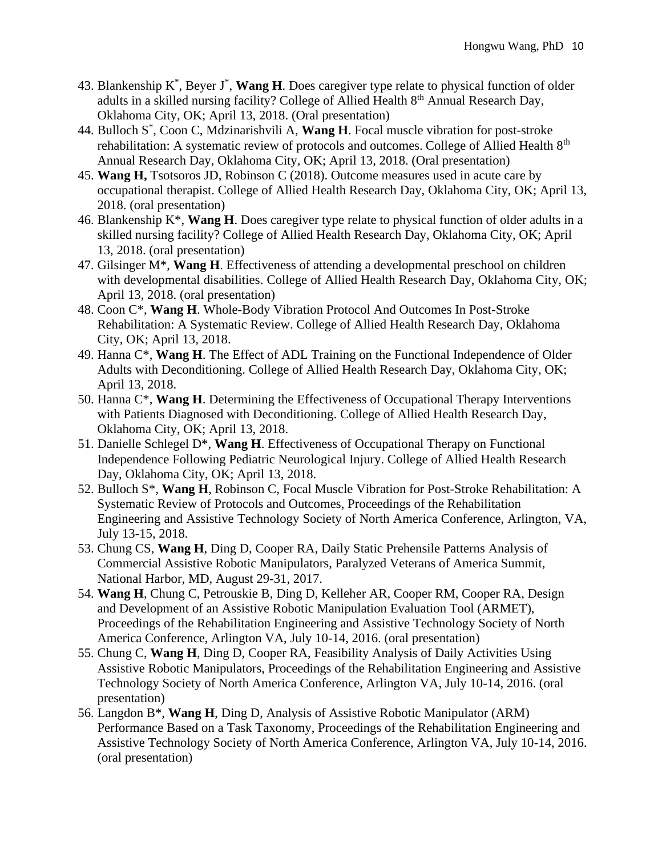- 43. Blankenship K\* , Beyer J\* , **Wang H**. Does caregiver type relate to physical function of older adults in a skilled nursing facility? College of Allied Health 8<sup>th</sup> Annual Research Day, Oklahoma City, OK; April 13, 2018. (Oral presentation)
- 44. Bulloch S\* , Coon C, Mdzinarishvili A, **Wang H**. Focal muscle vibration for post-stroke rehabilitation: A systematic review of protocols and outcomes. College of Allied Health 8<sup>th</sup> Annual Research Day, Oklahoma City, OK; April 13, 2018. (Oral presentation)
- 45. **Wang H,** Tsotsoros JD, Robinson C (2018). Outcome measures used in acute care by occupational therapist. College of Allied Health Research Day, Oklahoma City, OK; April 13, 2018. (oral presentation)
- 46. Blankenship K\*, **Wang H**. Does caregiver type relate to physical function of older adults in a skilled nursing facility? College of Allied Health Research Day, Oklahoma City, OK; April 13, 2018. (oral presentation)
- 47. Gilsinger M\*, **Wang H**. Effectiveness of attending a developmental preschool on children with developmental disabilities. College of Allied Health Research Day, Oklahoma City, OK; April 13, 2018. (oral presentation)
- 48. Coon C\*, **Wang H**. Whole-Body Vibration Protocol And Outcomes In Post-Stroke Rehabilitation: A Systematic Review. College of Allied Health Research Day, Oklahoma City, OK; April 13, 2018.
- 49. Hanna C\*, **Wang H**. The Effect of ADL Training on the Functional Independence of Older Adults with Deconditioning. College of Allied Health Research Day, Oklahoma City, OK; April 13, 2018.
- 50. Hanna C\*, **Wang H**. Determining the Effectiveness of Occupational Therapy Interventions with Patients Diagnosed with Deconditioning. College of Allied Health Research Day, Oklahoma City, OK; April 13, 2018.
- 51. Danielle Schlegel D\*, **Wang H**. Effectiveness of Occupational Therapy on Functional Independence Following Pediatric Neurological Injury. College of Allied Health Research Day, Oklahoma City, OK; April 13, 2018.
- 52. Bulloch S\*, **Wang H**, Robinson C, Focal Muscle Vibration for Post-Stroke Rehabilitation: A Systematic Review of Protocols and Outcomes, Proceedings of the Rehabilitation Engineering and Assistive Technology Society of North America Conference, Arlington, VA, July 13-15, 2018.
- 53. Chung CS, **Wang H**, Ding D, Cooper RA, Daily Static Prehensile Patterns Analysis of Commercial Assistive Robotic Manipulators, Paralyzed Veterans of America Summit, National Harbor, MD, August 29-31, 2017.
- 54. **Wang H**, Chung C, Petrouskie B, Ding D, Kelleher AR, Cooper RM, Cooper RA, Design and Development of an Assistive Robotic Manipulation Evaluation Tool (ARMET), Proceedings of the Rehabilitation Engineering and Assistive Technology Society of North America Conference, Arlington VA, July 10-14, 2016. (oral presentation)
- 55. Chung C, **Wang H**, Ding D, Cooper RA, Feasibility Analysis of Daily Activities Using Assistive Robotic Manipulators, Proceedings of the Rehabilitation Engineering and Assistive Technology Society of North America Conference, Arlington VA, July 10-14, 2016. (oral presentation)
- 56. Langdon B\*, **Wang H**, Ding D, Analysis of Assistive Robotic Manipulator (ARM) Performance Based on a Task Taxonomy, Proceedings of the Rehabilitation Engineering and Assistive Technology Society of North America Conference, Arlington VA, July 10-14, 2016. (oral presentation)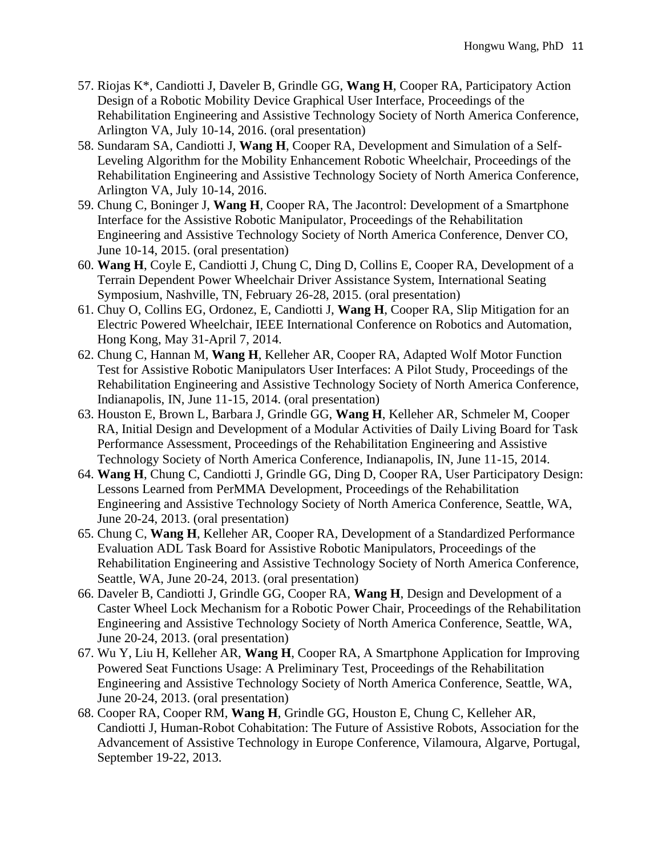- 57. Riojas K\*, Candiotti J, Daveler B, Grindle GG, **Wang H**, Cooper RA, Participatory Action Design of a Robotic Mobility Device Graphical User Interface, Proceedings of the Rehabilitation Engineering and Assistive Technology Society of North America Conference, Arlington VA, July 10-14, 2016. (oral presentation)
- 58. Sundaram SA, Candiotti J, **Wang H**, Cooper RA, Development and Simulation of a Self-Leveling Algorithm for the Mobility Enhancement Robotic Wheelchair, Proceedings of the Rehabilitation Engineering and Assistive Technology Society of North America Conference, Arlington VA, July 10-14, 2016.
- 59. Chung C, Boninger J, **Wang H**, Cooper RA, The Jacontrol: Development of a Smartphone Interface for the Assistive Robotic Manipulator, Proceedings of the Rehabilitation Engineering and Assistive Technology Society of North America Conference, Denver CO, June 10-14, 2015. (oral presentation)
- 60. **Wang H**, Coyle E, Candiotti J, Chung C, Ding D, Collins E, Cooper RA, Development of a Terrain Dependent Power Wheelchair Driver Assistance System, International Seating Symposium, Nashville, TN, February 26-28, 2015. (oral presentation)
- 61. Chuy O, Collins EG, Ordonez, E, Candiotti J, **Wang H**, Cooper RA, Slip Mitigation for an Electric Powered Wheelchair, IEEE International Conference on Robotics and Automation, Hong Kong, May 31-April 7, 2014.
- 62. Chung C, Hannan M, **Wang H**, Kelleher AR, Cooper RA, Adapted Wolf Motor Function Test for Assistive Robotic Manipulators User Interfaces: A Pilot Study, Proceedings of the Rehabilitation Engineering and Assistive Technology Society of North America Conference, Indianapolis, IN, June 11-15, 2014. (oral presentation)
- 63. Houston E, Brown L, Barbara J, Grindle GG, **Wang H**, Kelleher AR, Schmeler M, Cooper RA, Initial Design and Development of a Modular Activities of Daily Living Board for Task Performance Assessment, Proceedings of the Rehabilitation Engineering and Assistive Technology Society of North America Conference, Indianapolis, IN, June 11-15, 2014.
- 64. **Wang H**, Chung C, Candiotti J, Grindle GG, Ding D, Cooper RA, User Participatory Design: Lessons Learned from PerMMA Development, Proceedings of the Rehabilitation Engineering and Assistive Technology Society of North America Conference, Seattle, WA, June 20-24, 2013. (oral presentation)
- 65. Chung C, **Wang H**, Kelleher AR, Cooper RA, Development of a Standardized Performance Evaluation ADL Task Board for Assistive Robotic Manipulators, Proceedings of the Rehabilitation Engineering and Assistive Technology Society of North America Conference, Seattle, WA, June 20-24, 2013. (oral presentation)
- 66. Daveler B, Candiotti J, Grindle GG, Cooper RA, **Wang H**, Design and Development of a Caster Wheel Lock Mechanism for a Robotic Power Chair, Proceedings of the Rehabilitation Engineering and Assistive Technology Society of North America Conference, Seattle, WA, June 20-24, 2013. (oral presentation)
- 67. Wu Y, Liu H, Kelleher AR, **Wang H**, Cooper RA, A Smartphone Application for Improving Powered Seat Functions Usage: A Preliminary Test, Proceedings of the Rehabilitation Engineering and Assistive Technology Society of North America Conference, Seattle, WA, June 20-24, 2013. (oral presentation)
- 68. Cooper RA, Cooper RM, **Wang H**, Grindle GG, Houston E, Chung C, Kelleher AR, Candiotti J, Human-Robot Cohabitation: The Future of Assistive Robots, Association for the Advancement of Assistive Technology in Europe Conference, Vilamoura, Algarve, Portugal, September 19-22, 2013.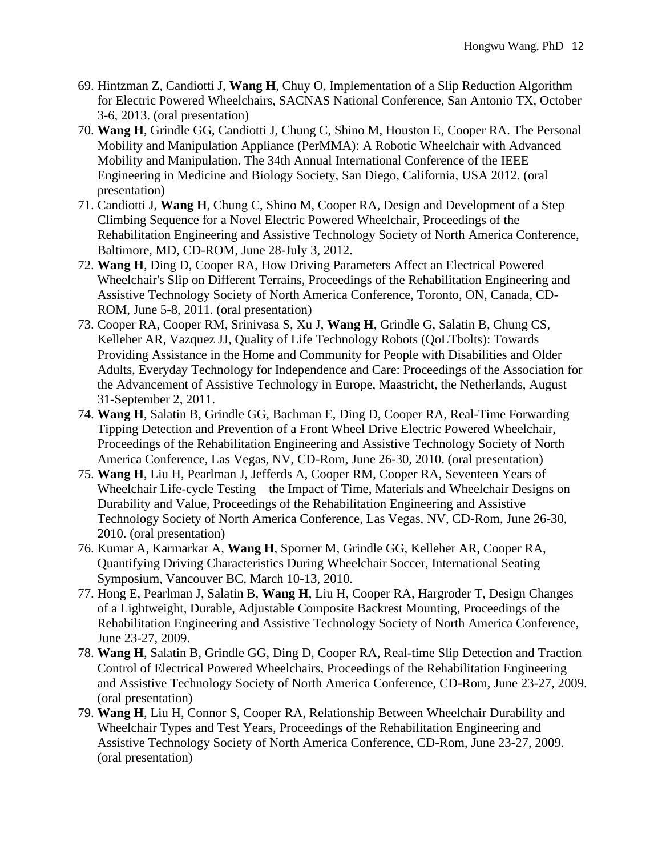- 69. Hintzman Z, Candiotti J, **Wang H**, Chuy O, Implementation of a Slip Reduction Algorithm for Electric Powered Wheelchairs, SACNAS National Conference, San Antonio TX, October 3-6, 2013. (oral presentation)
- 70. **Wang H**, Grindle GG, Candiotti J, Chung C, Shino M, Houston E, Cooper RA. The Personal Mobility and Manipulation Appliance (PerMMA): A Robotic Wheelchair with Advanced Mobility and Manipulation. The 34th Annual International Conference of the IEEE Engineering in Medicine and Biology Society, San Diego, California, USA 2012. (oral presentation)
- 71. Candiotti J, **Wang H**, Chung C, Shino M, Cooper RA, Design and Development of a Step Climbing Sequence for a Novel Electric Powered Wheelchair, Proceedings of the Rehabilitation Engineering and Assistive Technology Society of North America Conference, Baltimore, MD, CD-ROM, June 28-July 3, 2012.
- 72. **Wang H**, Ding D, Cooper RA, How Driving Parameters Affect an Electrical Powered Wheelchair's Slip on Different Terrains, Proceedings of the Rehabilitation Engineering and Assistive Technology Society of North America Conference, Toronto, ON, Canada, CD-ROM, June 5-8, 2011. (oral presentation)
- 73. Cooper RA, Cooper RM, Srinivasa S, Xu J, **Wang H**, Grindle G, Salatin B, Chung CS, Kelleher AR, Vazquez JJ, Quality of Life Technology Robots (QoLTbolts): Towards Providing Assistance in the Home and Community for People with Disabilities and Older Adults, Everyday Technology for Independence and Care: Proceedings of the Association for the Advancement of Assistive Technology in Europe, Maastricht, the Netherlands, August 31-September 2, 2011.
- 74. **Wang H**, Salatin B, Grindle GG, Bachman E, Ding D, Cooper RA, Real-Time Forwarding Tipping Detection and Prevention of a Front Wheel Drive Electric Powered Wheelchair, Proceedings of the Rehabilitation Engineering and Assistive Technology Society of North America Conference, Las Vegas, NV, CD-Rom, June 26-30, 2010. (oral presentation)
- 75. **Wang H**, Liu H, Pearlman J, Jefferds A, Cooper RM, Cooper RA, Seventeen Years of Wheelchair Life-cycle Testing—the Impact of Time, Materials and Wheelchair Designs on Durability and Value, Proceedings of the Rehabilitation Engineering and Assistive Technology Society of North America Conference, Las Vegas, NV, CD-Rom, June 26-30, 2010. (oral presentation)
- 76. Kumar A, Karmarkar A, **Wang H**, Sporner M, Grindle GG, Kelleher AR, Cooper RA, Quantifying Driving Characteristics During Wheelchair Soccer, International Seating Symposium, Vancouver BC, March 10-13, 2010.
- 77. Hong E, Pearlman J, Salatin B, **Wang H**, Liu H, Cooper RA, Hargroder T, Design Changes of a Lightweight, Durable, Adjustable Composite Backrest Mounting, Proceedings of the Rehabilitation Engineering and Assistive Technology Society of North America Conference, June 23-27, 2009.
- 78. **Wang H**, Salatin B, Grindle GG, Ding D, Cooper RA, Real-time Slip Detection and Traction Control of Electrical Powered Wheelchairs, Proceedings of the Rehabilitation Engineering and Assistive Technology Society of North America Conference, CD-Rom, June 23-27, 2009. (oral presentation)
- 79. **Wang H**, Liu H, Connor S, Cooper RA, Relationship Between Wheelchair Durability and Wheelchair Types and Test Years, Proceedings of the Rehabilitation Engineering and Assistive Technology Society of North America Conference, CD-Rom, June 23-27, 2009. (oral presentation)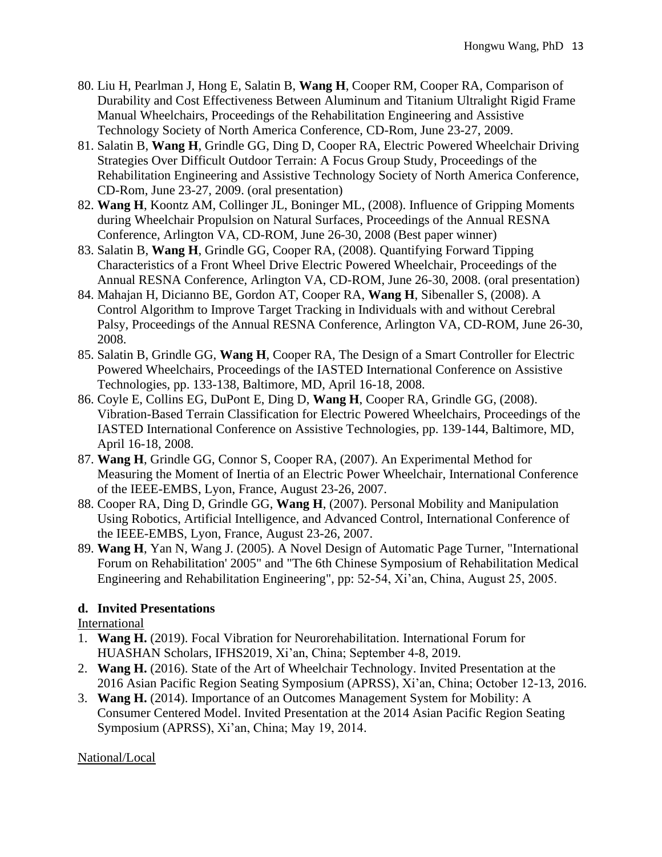- 80. Liu H, Pearlman J, Hong E, Salatin B, **Wang H**, Cooper RM, Cooper RA, Comparison of Durability and Cost Effectiveness Between Aluminum and Titanium Ultralight Rigid Frame Manual Wheelchairs, Proceedings of the Rehabilitation Engineering and Assistive Technology Society of North America Conference, CD-Rom, June 23-27, 2009.
- 81. Salatin B, **Wang H**, Grindle GG, Ding D, Cooper RA, Electric Powered Wheelchair Driving Strategies Over Difficult Outdoor Terrain: A Focus Group Study, Proceedings of the Rehabilitation Engineering and Assistive Technology Society of North America Conference, CD-Rom, June 23-27, 2009. (oral presentation)
- 82. **Wang H**, Koontz AM, Collinger JL, Boninger ML, (2008). Influence of Gripping Moments during Wheelchair Propulsion on Natural Surfaces, Proceedings of the Annual RESNA Conference, Arlington VA, CD-ROM, June 26-30, 2008 (Best paper winner)
- 83. Salatin B, **Wang H**, Grindle GG, Cooper RA, (2008). Quantifying Forward Tipping Characteristics of a Front Wheel Drive Electric Powered Wheelchair, Proceedings of the Annual RESNA Conference, Arlington VA, CD-ROM, June 26-30, 2008. (oral presentation)
- 84. Mahajan H, Dicianno BE, Gordon AT, Cooper RA, **Wang H**, Sibenaller S, (2008). A Control Algorithm to Improve Target Tracking in Individuals with and without Cerebral Palsy, Proceedings of the Annual RESNA Conference, Arlington VA, CD-ROM, June 26-30, 2008.
- 85. Salatin B, Grindle GG, **Wang H**, Cooper RA, The Design of a Smart Controller for Electric Powered Wheelchairs, Proceedings of the IASTED International Conference on Assistive Technologies, pp. 133-138, Baltimore, MD, April 16-18, 2008.
- 86. Coyle E, Collins EG, DuPont E, Ding D, **Wang H**, Cooper RA, Grindle GG, (2008). Vibration-Based Terrain Classification for Electric Powered Wheelchairs, Proceedings of the IASTED International Conference on Assistive Technologies, pp. 139-144, Baltimore, MD, April 16-18, 2008.
- 87. **Wang H**, Grindle GG, Connor S, Cooper RA, (2007). An Experimental Method for Measuring the Moment of Inertia of an Electric Power Wheelchair, International Conference of the IEEE-EMBS, Lyon, France, August 23-26, 2007.
- 88. Cooper RA, Ding D, Grindle GG, **Wang H**, (2007). Personal Mobility and Manipulation Using Robotics, Artificial Intelligence, and Advanced Control, International Conference of the IEEE-EMBS, Lyon, France, August 23-26, 2007.
- 89. **Wang H**, Yan N, Wang J. (2005). A Novel Design of Automatic Page Turner, "International Forum on Rehabilitation' 2005" and "The 6th Chinese Symposium of Rehabilitation Medical Engineering and Rehabilitation Engineering", pp: 52-54, Xi'an, China, August 25, 2005.

# **d. Invited Presentations**

International

- 1. **Wang H.** (2019). Focal Vibration for Neurorehabilitation. International Forum for HUASHAN Scholars, IFHS2019, Xi'an, China; September 4-8, 2019.
- 2. **Wang H.** (2016). State of the Art of Wheelchair Technology. Invited Presentation at the 2016 Asian Pacific Region Seating Symposium (APRSS), Xi'an, China; October 12-13, 2016.
- 3. **Wang H.** (2014). Importance of an Outcomes Management System for Mobility: A Consumer Centered Model. Invited Presentation at the 2014 Asian Pacific Region Seating Symposium (APRSS), Xi'an, China; May 19, 2014.

National/Local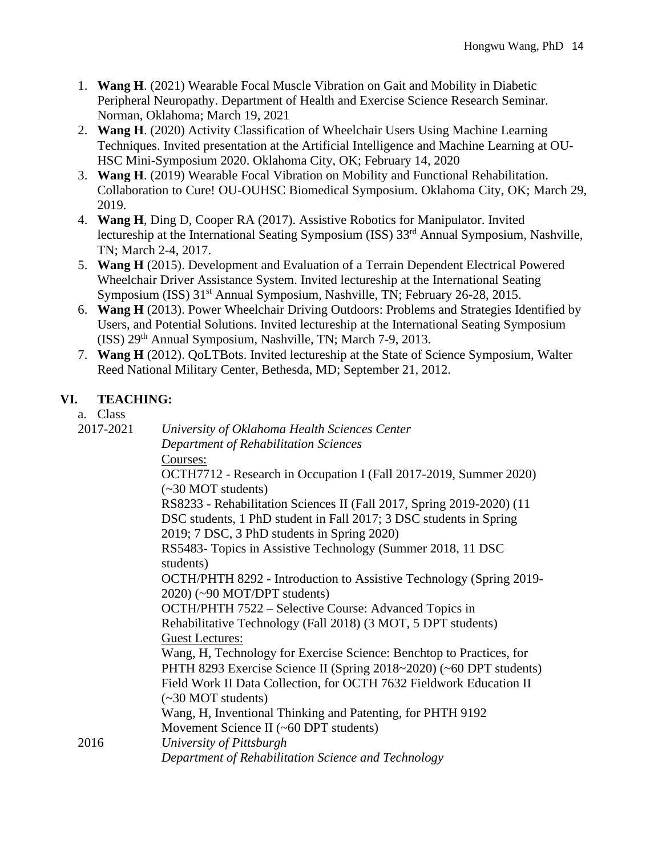- 1. **Wang H**. (2021) Wearable Focal Muscle Vibration on Gait and Mobility in Diabetic Peripheral Neuropathy. Department of Health and Exercise Science Research Seminar. Norman, Oklahoma; March 19, 2021
- 2. **Wang H**. (2020) Activity Classification of Wheelchair Users Using Machine Learning Techniques. Invited presentation at the Artificial Intelligence and Machine Learning at OU-HSC Mini-Symposium 2020. Oklahoma City, OK; February 14, 2020
- 3. **Wang H**. (2019) Wearable Focal Vibration on Mobility and Functional Rehabilitation. Collaboration to Cure! OU-OUHSC Biomedical Symposium. Oklahoma City, OK; March 29, 2019.
- 4. **Wang H**, Ding D, Cooper RA (2017). Assistive Robotics for Manipulator. Invited lectureship at the International Seating Symposium (ISS) 33<sup>rd</sup> Annual Symposium, Nashville, TN; March 2-4, 2017.
- 5. **Wang H** (2015). Development and Evaluation of a Terrain Dependent Electrical Powered Wheelchair Driver Assistance System. Invited lectureship at the International Seating Symposium (ISS) 31<sup>st</sup> Annual Symposium, Nashville, TN; February 26-28, 2015.
- 6. **Wang H** (2013). Power Wheelchair Driving Outdoors: Problems and Strategies Identified by Users, and Potential Solutions. Invited lectureship at the International Seating Symposium  $(ISS)$  29<sup>th</sup> Annual Symposium, Nashville, TN; March 7-9, 2013.
- 7. **Wang H** (2012). QoLTBots. Invited lectureship at the State of Science Symposium, Walter Reed National Military Center, Bethesda, MD; September 21, 2012.

# **VI. TEACHING:**

a. Class<br>2017-2021

2016 *University of Pittsburgh*

| טט  |                                                                                                                   |
|-----|-------------------------------------------------------------------------------------------------------------------|
| 021 | University of Oklahoma Health Sciences Center                                                                     |
|     | Department of Rehabilitation Sciences                                                                             |
|     | Courses:                                                                                                          |
|     | OCTH7712 - Research in Occupation I (Fall 2017-2019, Summer 2020)<br>$(\sim]30$ MOT students)                     |
|     | RS8233 - Rehabilitation Sciences II (Fall 2017, Spring 2019-2020) (11                                             |
|     | DSC students, 1 PhD student in Fall 2017; 3 DSC students in Spring<br>2019; 7 DSC, 3 PhD students in Spring 2020) |
|     |                                                                                                                   |
|     | RS5483- Topics in Assistive Technology (Summer 2018, 11 DSC<br>students)                                          |
|     | OCTH/PHTH 8292 - Introduction to Assistive Technology (Spring 2019-                                               |
|     | $2020$ ) (~90 MOT/DPT students)                                                                                   |
|     | OCTH/PHTH 7522 – Selective Course: Advanced Topics in                                                             |
|     | Rehabilitative Technology (Fall 2018) (3 MOT, 5 DPT students)                                                     |
|     | <b>Guest Lectures:</b>                                                                                            |
|     | Wang, H, Technology for Exercise Science: Benchtop to Practices, for                                              |
|     | PHTH 8293 Exercise Science II (Spring 2018~2020) (~60 DPT students)                                               |
|     | Field Work II Data Collection, for OCTH 7632 Fieldwork Education II                                               |
|     | $(\sim]30$ MOT students)                                                                                          |
|     | Wang, H, Inventional Thinking and Patenting, for PHTH 9192                                                        |
|     | Movement Science II (~60 DPT students)                                                                            |
|     | University of Pittsburgh                                                                                          |
|     | Department of Rehabilitation Science and Technology                                                               |
|     |                                                                                                                   |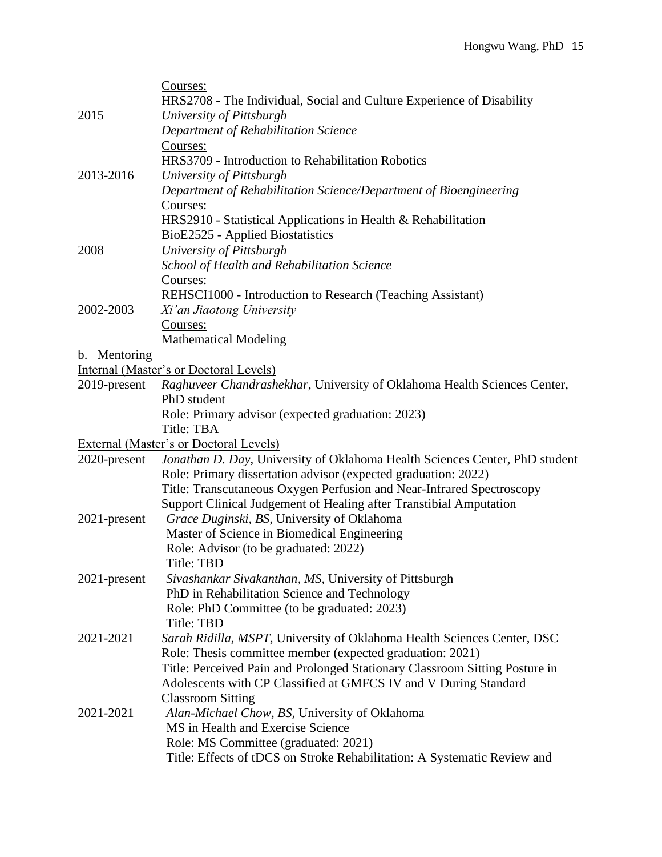|              | Courses:                                                                                                                                    |
|--------------|---------------------------------------------------------------------------------------------------------------------------------------------|
|              | HRS2708 - The Individual, Social and Culture Experience of Disability                                                                       |
| 2015         | University of Pittsburgh                                                                                                                    |
|              | Department of Rehabilitation Science                                                                                                        |
|              | Courses:                                                                                                                                    |
|              | HRS3709 - Introduction to Rehabilitation Robotics                                                                                           |
| 2013-2016    | University of Pittsburgh                                                                                                                    |
|              | Department of Rehabilitation Science/Department of Bioengineering                                                                           |
|              | Courses:                                                                                                                                    |
|              | HRS2910 - Statistical Applications in Health & Rehabilitation                                                                               |
|              | BioE2525 - Applied Biostatistics                                                                                                            |
| 2008         | University of Pittsburgh                                                                                                                    |
|              | School of Health and Rehabilitation Science                                                                                                 |
|              | Courses:                                                                                                                                    |
|              | REHSCI1000 - Introduction to Research (Teaching Assistant)                                                                                  |
| 2002-2003    | Xi'an Jiaotong University                                                                                                                   |
|              | Courses:                                                                                                                                    |
|              | <b>Mathematical Modeling</b>                                                                                                                |
| b. Mentoring |                                                                                                                                             |
|              | <b>Internal (Master's or Doctoral Levels)</b>                                                                                               |
| 2019-present | Raghuveer Chandrashekhar, University of Oklahoma Health Sciences Center,                                                                    |
|              | PhD student                                                                                                                                 |
|              | Role: Primary advisor (expected graduation: 2023)                                                                                           |
|              | Title: TBA                                                                                                                                  |
|              | <b>External (Master's or Doctoral Levels)</b>                                                                                               |
| 2020-present | Jonathan D. Day, University of Oklahoma Health Sciences Center, PhD student                                                                 |
|              | Role: Primary dissertation advisor (expected graduation: 2022)                                                                              |
|              | Title: Transcutaneous Oxygen Perfusion and Near-Infrared Spectroscopy<br>Support Clinical Judgement of Healing after Transtibial Amputation |
| 2021-present | Grace Duginski, BS, University of Oklahoma                                                                                                  |
|              | Master of Science in Biomedical Engineering                                                                                                 |
|              | Role: Advisor (to be graduated: 2022)                                                                                                       |
|              | Title: TBD                                                                                                                                  |
| 2021-present | Sivashankar Sivakanthan, MS, University of Pittsburgh                                                                                       |
|              | PhD in Rehabilitation Science and Technology                                                                                                |
|              | Role: PhD Committee (to be graduated: 2023)                                                                                                 |
|              | Title: TBD                                                                                                                                  |
| 2021-2021    | Sarah Ridilla, MSPT, University of Oklahoma Health Sciences Center, DSC                                                                     |
|              | Role: Thesis committee member (expected graduation: 2021)                                                                                   |
|              | Title: Perceived Pain and Prolonged Stationary Classroom Sitting Posture in                                                                 |
|              | Adolescents with CP Classified at GMFCS IV and V During Standard                                                                            |
|              | <b>Classroom Sitting</b>                                                                                                                    |
| 2021-2021    | Alan-Michael Chow, BS, University of Oklahoma                                                                                               |
|              | MS in Health and Exercise Science                                                                                                           |
|              | Role: MS Committee (graduated: 2021)                                                                                                        |
|              | Title: Effects of tDCS on Stroke Rehabilitation: A Systematic Review and                                                                    |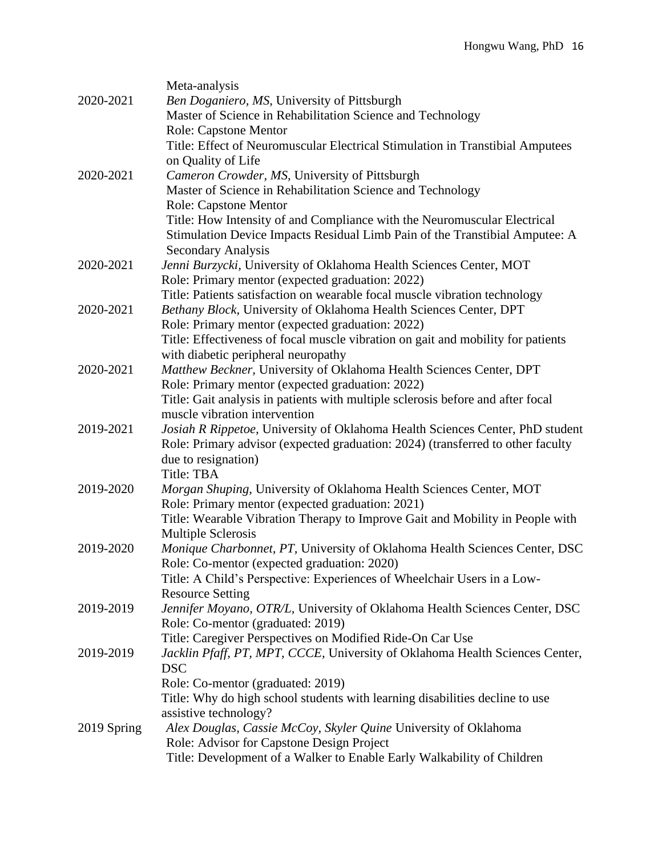|             | Meta-analysis                                                                                                    |
|-------------|------------------------------------------------------------------------------------------------------------------|
| 2020-2021   | Ben Doganiero, MS, University of Pittsburgh                                                                      |
|             | Master of Science in Rehabilitation Science and Technology                                                       |
|             | <b>Role: Capstone Mentor</b>                                                                                     |
|             | Title: Effect of Neuromuscular Electrical Stimulation in Transtibial Amputees                                    |
|             | on Quality of Life                                                                                               |
| 2020-2021   | Cameron Crowder, MS, University of Pittsburgh                                                                    |
|             | Master of Science in Rehabilitation Science and Technology                                                       |
|             | <b>Role: Capstone Mentor</b>                                                                                     |
|             | Title: How Intensity of and Compliance with the Neuromuscular Electrical                                         |
|             | Stimulation Device Impacts Residual Limb Pain of the Transtibial Amputee: A                                      |
|             | <b>Secondary Analysis</b>                                                                                        |
| 2020-2021   | Jenni Burzycki, University of Oklahoma Health Sciences Center, MOT                                               |
|             | Role: Primary mentor (expected graduation: 2022)                                                                 |
|             | Title: Patients satisfaction on wearable focal muscle vibration technology                                       |
| 2020-2021   | Bethany Block, University of Oklahoma Health Sciences Center, DPT                                                |
|             | Role: Primary mentor (expected graduation: 2022)                                                                 |
|             | Title: Effectiveness of focal muscle vibration on gait and mobility for patients                                 |
|             | with diabetic peripheral neuropathy                                                                              |
| 2020-2021   | Matthew Beckner, University of Oklahoma Health Sciences Center, DPT                                              |
|             | Role: Primary mentor (expected graduation: 2022)                                                                 |
|             | Title: Gait analysis in patients with multiple sclerosis before and after focal<br>muscle vibration intervention |
| 2019-2021   | Josiah R Rippetoe, University of Oklahoma Health Sciences Center, PhD student                                    |
|             | Role: Primary advisor (expected graduation: 2024) (transferred to other faculty                                  |
|             | due to resignation)                                                                                              |
|             | Title: TBA                                                                                                       |
| 2019-2020   | Morgan Shuping, University of Oklahoma Health Sciences Center, MOT                                               |
|             | Role: Primary mentor (expected graduation: 2021)                                                                 |
|             | Title: Wearable Vibration Therapy to Improve Gait and Mobility in People with                                    |
|             | <b>Multiple Sclerosis</b>                                                                                        |
| 2019-2020   | Monique Charbonnet, PT, University of Oklahoma Health Sciences Center, DSC                                       |
|             | Role: Co-mentor (expected graduation: 2020)                                                                      |
|             | Title: A Child's Perspective: Experiences of Wheelchair Users in a Low-                                          |
|             | <b>Resource Setting</b>                                                                                          |
| 2019-2019   | Jennifer Moyano, OTR/L, University of Oklahoma Health Sciences Center, DSC                                       |
|             | Role: Co-mentor (graduated: 2019)                                                                                |
|             | Title: Caregiver Perspectives on Modified Ride-On Car Use                                                        |
| 2019-2019   | Jacklin Pfaff, PT, MPT, CCCE, University of Oklahoma Health Sciences Center,                                     |
|             | <b>DSC</b>                                                                                                       |
|             | Role: Co-mentor (graduated: 2019)                                                                                |
|             | Title: Why do high school students with learning disabilities decline to use                                     |
|             | assistive technology?                                                                                            |
| 2019 Spring | Alex Douglas, Cassie McCoy, Skyler Quine University of Oklahoma<br>Role: Advisor for Capstone Design Project     |
|             | Title: Development of a Walker to Enable Early Walkability of Children                                           |
|             |                                                                                                                  |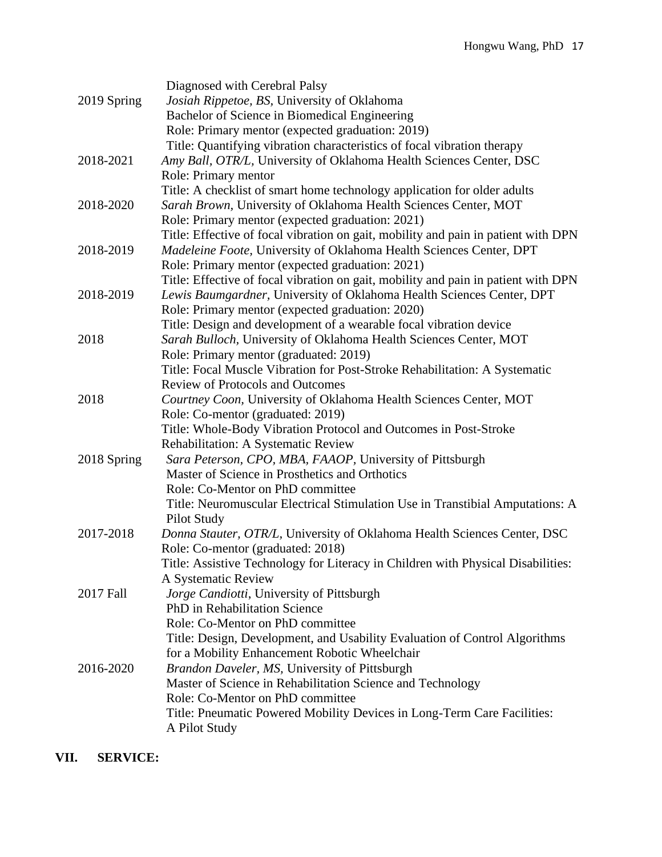|             | Diagnosed with Cerebral Palsy                                                      |
|-------------|------------------------------------------------------------------------------------|
| 2019 Spring | Josiah Rippetoe, BS, University of Oklahoma                                        |
|             | Bachelor of Science in Biomedical Engineering                                      |
|             | Role: Primary mentor (expected graduation: 2019)                                   |
|             | Title: Quantifying vibration characteristics of focal vibration therapy            |
| 2018-2021   | Amy Ball, OTR/L, University of Oklahoma Health Sciences Center, DSC                |
|             | Role: Primary mentor                                                               |
|             | Title: A checklist of smart home technology application for older adults           |
| 2018-2020   | Sarah Brown, University of Oklahoma Health Sciences Center, MOT                    |
|             | Role: Primary mentor (expected graduation: 2021)                                   |
|             | Title: Effective of focal vibration on gait, mobility and pain in patient with DPN |
| 2018-2019   | Madeleine Foote, University of Oklahoma Health Sciences Center, DPT                |
|             | Role: Primary mentor (expected graduation: 2021)                                   |
|             | Title: Effective of focal vibration on gait, mobility and pain in patient with DPN |
| 2018-2019   | Lewis Baumgardner, University of Oklahoma Health Sciences Center, DPT              |
|             | Role: Primary mentor (expected graduation: 2020)                                   |
|             | Title: Design and development of a wearable focal vibration device                 |
| 2018        | Sarah Bulloch, University of Oklahoma Health Sciences Center, MOT                  |
|             | Role: Primary mentor (graduated: 2019)                                             |
|             | Title: Focal Muscle Vibration for Post-Stroke Rehabilitation: A Systematic         |
|             | <b>Review of Protocols and Outcomes</b>                                            |
| 2018        | Courtney Coon, University of Oklahoma Health Sciences Center, MOT                  |
|             | Role: Co-mentor (graduated: 2019)                                                  |
|             | Title: Whole-Body Vibration Protocol and Outcomes in Post-Stroke                   |
|             | Rehabilitation: A Systematic Review                                                |
| 2018 Spring | Sara Peterson, CPO, MBA, FAAOP, University of Pittsburgh                           |
|             | Master of Science in Prosthetics and Orthotics                                     |
|             | Role: Co-Mentor on PhD committee                                                   |
|             | Title: Neuromuscular Electrical Stimulation Use in Transtibial Amputations: A      |
|             | Pilot Study                                                                        |
| 2017-2018   | Donna Stauter, OTR/L, University of Oklahoma Health Sciences Center, DSC           |
|             | Role: Co-mentor (graduated: 2018)                                                  |
|             | Title: Assistive Technology for Literacy in Children with Physical Disabilities:   |
|             | A Systematic Review                                                                |
| 2017 Fall   | Jorge Candiotti, University of Pittsburgh                                          |
|             | PhD in Rehabilitation Science                                                      |
|             | Role: Co-Mentor on PhD committee                                                   |
|             | Title: Design, Development, and Usability Evaluation of Control Algorithms         |
|             | for a Mobility Enhancement Robotic Wheelchair                                      |
| 2016-2020   | Brandon Daveler, MS, University of Pittsburgh                                      |
|             | Master of Science in Rehabilitation Science and Technology                         |
|             | Role: Co-Mentor on PhD committee                                                   |
|             | Title: Pneumatic Powered Mobility Devices in Long-Term Care Facilities:            |
|             | A Pilot Study                                                                      |

## **VII. SERVICE:**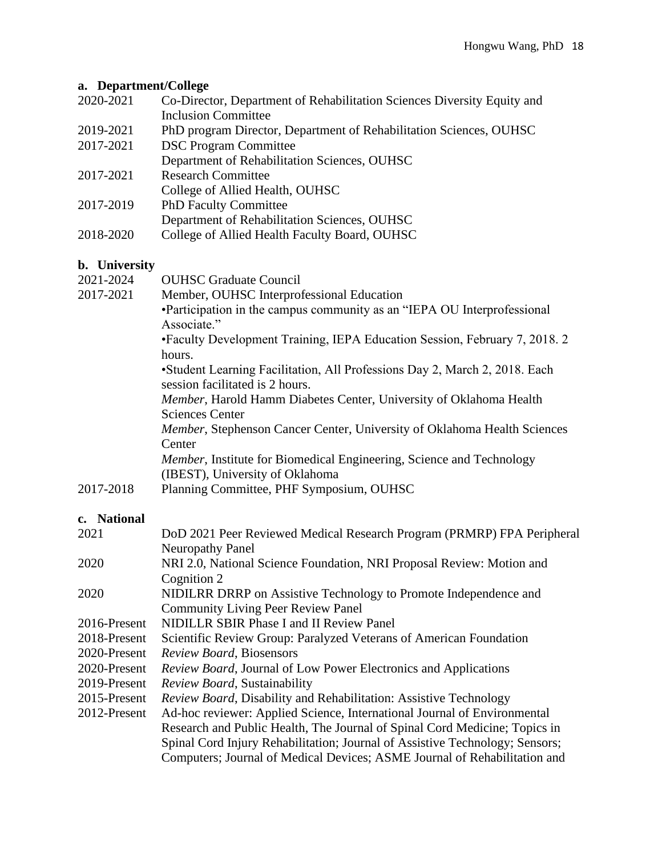# **a. Department/College**

| 2020-2021 | Co-Director, Department of Rehabilitation Sciences Diversity Equity and |
|-----------|-------------------------------------------------------------------------|
|           | <b>Inclusion Committee</b>                                              |
| 2019-2021 | PhD program Director, Department of Rehabilitation Sciences, OUHSC      |
| 2017-2021 | <b>DSC Program Committee</b>                                            |
|           | Department of Rehabilitation Sciences, OUHSC                            |
| 2017-2021 | <b>Research Committee</b>                                               |
|           | College of Allied Health, OUHSC                                         |
| 2017-2019 | <b>PhD Faculty Committee</b>                                            |
|           | Department of Rehabilitation Sciences, OUHSC                            |
| 2018-2020 | College of Allied Health Faculty Board, OUHSC                           |

# **b. University**

| 2021-2024    | <b>OUHSC Graduate Council</b>                                                                                 |
|--------------|---------------------------------------------------------------------------------------------------------------|
| 2017-2021    | Member, OUHSC Interprofessional Education                                                                     |
|              | •Participation in the campus community as an "IEPA OU Interprofessional                                       |
|              | Associate."                                                                                                   |
|              | •Faculty Development Training, IEPA Education Session, February 7, 2018. 2                                    |
|              | hours.                                                                                                        |
|              | •Student Learning Facilitation, All Professions Day 2, March 2, 2018. Each<br>session facilitated is 2 hours. |
|              | Member, Harold Hamm Diabetes Center, University of Oklahoma Health<br><b>Sciences Center</b>                  |
|              | Member, Stephenson Cancer Center, University of Oklahoma Health Sciences<br>Center                            |
|              | Member, Institute for Biomedical Engineering, Science and Technology<br>(IBEST), University of Oklahoma       |
| 2017-2018    | Planning Committee, PHF Symposium, OUHSC                                                                      |
| c. National  |                                                                                                               |
| 2021         | DoD 2021 Peer Reviewed Medical Research Program (PRMRP) FPA Peripheral                                        |
|              | <b>Neuropathy Panel</b>                                                                                       |
| 2020         | NRI 2.0, National Science Foundation, NRI Proposal Review: Motion and<br>Cognition 2                          |
| 2020         | NIDILRR DRRP on Assistive Technology to Promote Independence and<br><b>Community Living Peer Review Panel</b> |
| 2016-Present | NIDILLR SBIR Phase I and II Review Panel                                                                      |
| 2018-Present | Scientific Review Group: Paralyzed Veterans of American Foundation                                            |
| 2020-Present | Review Board, Biosensors                                                                                      |
| 2020-Present | Review Board, Journal of Low Power Electronics and Applications                                               |
| 2019-Present | Review Board, Sustainability                                                                                  |
| 2015-Present | Review Board, Disability and Rehabilitation: Assistive Technology                                             |
| 2012-Present | Ad-hoc reviewer: Applied Science, International Journal of Environmental                                      |
|              | Research and Public Health, The Journal of Spinal Cord Medicine; Topics in                                    |
|              | Spinal Cord Injury Rehabilitation; Journal of Assistive Technology; Sensors;                                  |
|              | Computers; Journal of Medical Devices; ASME Journal of Rehabilitation and                                     |